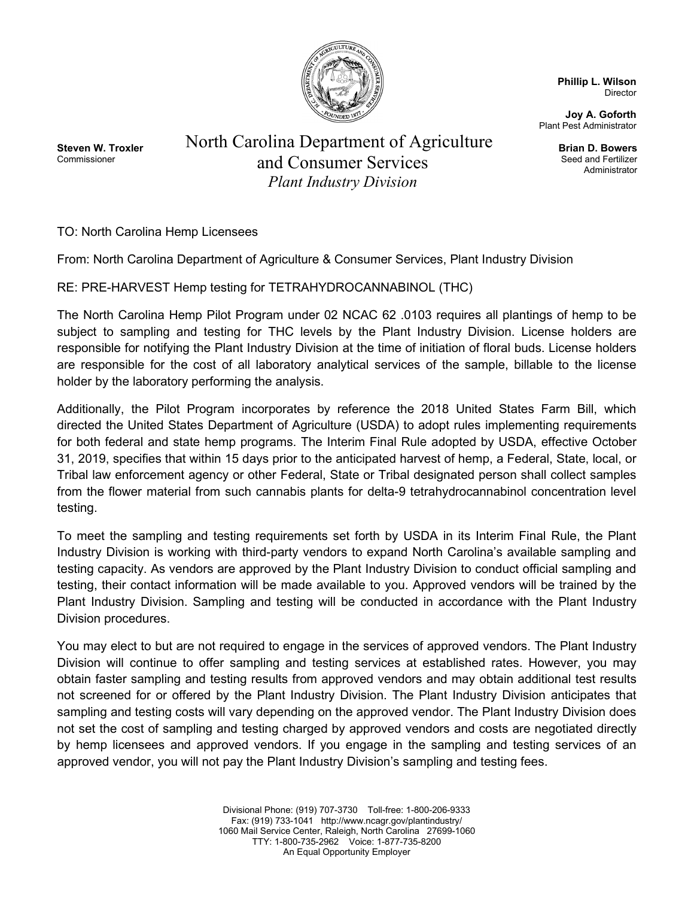

**Phillip L. Wilson** Director

**Joy A. Goforth** Plant Pest Administrator

> **Brian D. Bowers** Seed and Fertilizer Administrator

**Steven W. Troxler** Commissioner

North Carolina Department of Agriculture and Consumer Services *Plant Industry Division*

TO: North Carolina Hemp Licensees

From: North Carolina Department of Agriculture & Consumer Services, Plant Industry Division

RE: PRE-HARVEST Hemp testing for TETRAHYDROCANNABINOL (THC)

The North Carolina Hemp Pilot Program under 02 NCAC 62 .0103 requires all plantings of hemp to be subject to sampling and testing for THC levels by the Plant Industry Division. License holders are responsible for notifying the Plant Industry Division at the time of initiation of floral buds. License holders are responsible for the cost of all laboratory analytical services of the sample, billable to the license holder by the laboratory performing the analysis.

Additionally, the Pilot Program incorporates by reference the 2018 United States Farm Bill, which directed the United States Department of Agriculture (USDA) to adopt rules implementing requirements for both federal and state hemp programs. The Interim Final Rule adopted by USDA, effective October 31, 2019, specifies that within 15 days prior to the anticipated harvest of hemp, a Federal, State, local, or Tribal law enforcement agency or other Federal, State or Tribal designated person shall collect samples from the flower material from such cannabis plants for delta-9 tetrahydrocannabinol concentration level testing.

To meet the sampling and testing requirements set forth by USDA in its Interim Final Rule, the Plant Industry Division is working with third-party vendors to expand North Carolina's available sampling and testing capacity. As vendors are approved by the Plant Industry Division to conduct official sampling and testing, their contact information will be made available to you. Approved vendors will be trained by the Plant Industry Division. Sampling and testing will be conducted in accordance with the Plant Industry Division procedures.

You may elect to but are not required to engage in the services of approved vendors. The Plant Industry Division will continue to offer sampling and testing services at established rates. However, you may obtain faster sampling and testing results from approved vendors and may obtain additional test results not screened for or offered by the Plant Industry Division. The Plant Industry Division anticipates that sampling and testing costs will vary depending on the approved vendor. The Plant Industry Division does not set the cost of sampling and testing charged by approved vendors and costs are negotiated directly by hemp licensees and approved vendors. If you engage in the sampling and testing services of an approved vendor, you will not pay the Plant Industry Division's sampling and testing fees.